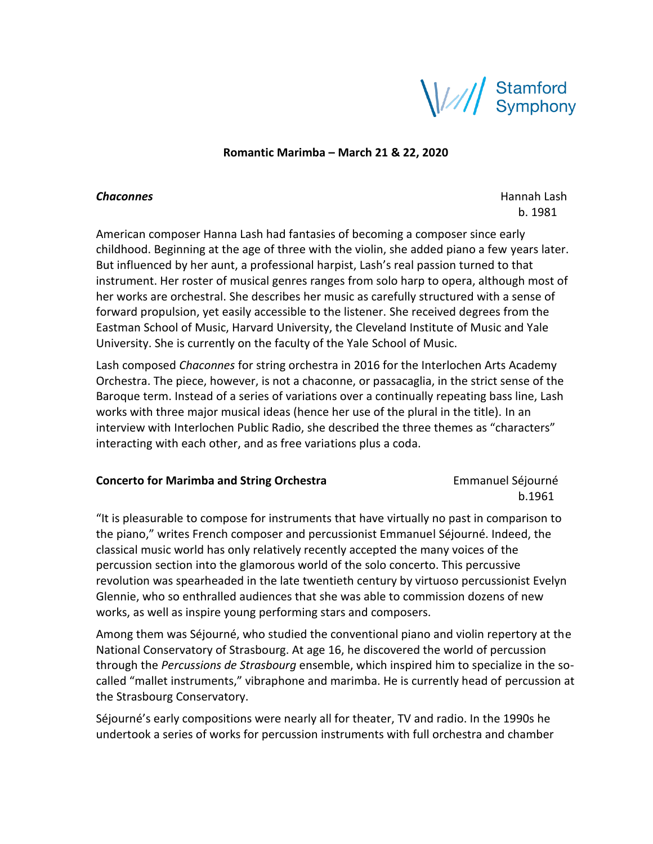

**Romantic Marimba – March 21 & 22, 2020**

**Chaconnes** Hannah Lash and the control of the control of the control of the control of the control of the control of the control of the control of the control of the control of the control of the control of the control of b. 1981

American composer Hanna Lash had fantasies of becoming a composer since early childhood. Beginning at the age of three with the violin, she added piano a few years later. But influenced by her aunt, a professional harpist, Lash's real passion turned to that instrument. Her roster of musical genres ranges from solo harp to opera, although most of her works are orchestral. She describes her music as carefully structured with a sense of forward propulsion, yet easily accessible to the listener. She received degrees from the Eastman School of Music, Harvard University, the Cleveland Institute of Music and Yale University. She is currently on the faculty of the Yale School of Music.

Lash composed *Chaconnes* for string orchestra in 2016 for the Interlochen Arts Academy Orchestra. The piece, however, is not a chaconne, or passacaglia, in the strict sense of the Baroque term. Instead of a series of variations over a continually repeating bass line, Lash works with three major musical ideas (hence her use of the plural in the title). In an interview with Interlochen Public Radio, she described the three themes as "characters" interacting with each other, and as free variations plus a coda.

## **Concerto for Marimba and String Orchestra Emmanuel Séjourné**

b.1961

"It is pleasurable to compose for instruments that have virtually no past in comparison to the piano," writes French composer and percussionist Emmanuel Séjourné. Indeed, the classical music world has only relatively recently accepted the many voices of the percussion section into the glamorous world of the solo concerto. This percussive revolution was spearheaded in the late twentieth century by virtuoso percussionist Evelyn Glennie, who so enthralled audiences that she was able to commission dozens of new works, as well as inspire young performing stars and composers.

Among them was Séjourné, who studied the conventional piano and violin repertory at the National Conservatory of Strasbourg. At age 16, he discovered the world of percussion through the *Percussions de Strasbourg* ensemble, which inspired him to specialize in the socalled "mallet instruments," vibraphone and marimba. He is currently head of percussion at the Strasbourg Conservatory.

Séjourné's early compositions were nearly all for theater, TV and radio. In the 1990s he undertook a series of works for percussion instruments with full orchestra and chamber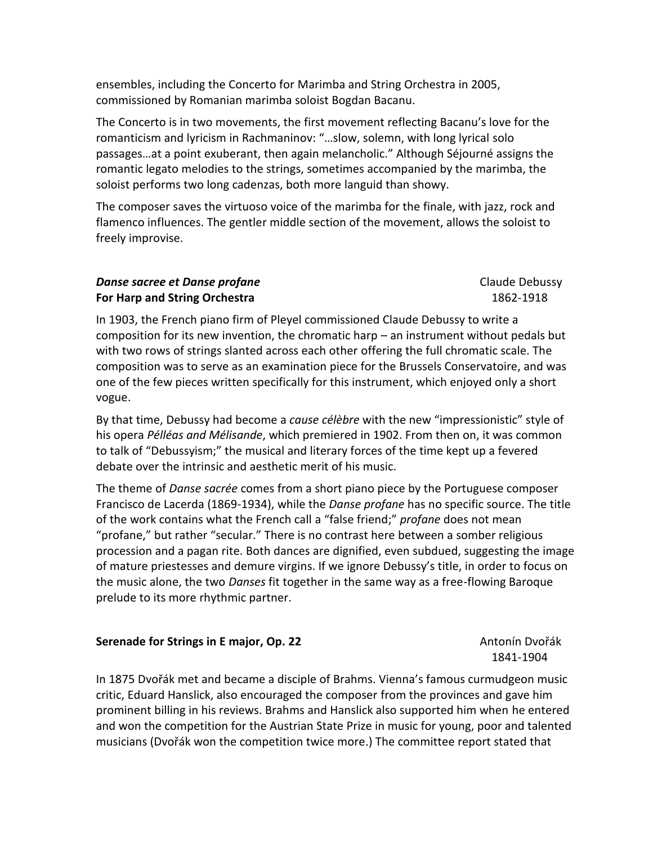ensembles, including the Concerto for Marimba and String Orchestra in 2005, commissioned by Romanian marimba soloist Bogdan Bacanu.

The Concerto is in two movements, the first movement reflecting Bacanu's love for the romanticism and lyricism in Rachmaninov: "…slow, solemn, with long lyrical solo passages…at a point exuberant, then again melancholic." Although Séjourné assigns the romantic legato melodies to the strings, sometimes accompanied by the marimba, the soloist performs two long cadenzas, both more languid than showy.

The composer saves the virtuoso voice of the marimba for the finale, with jazz, rock and flamenco influences. The gentler middle section of the movement, allows the soloist to freely improvise.

## **Danse sacree et Danse profane** Claude Debussy **For Harp and String Orchestra** 1862-1918

In 1903, the French piano firm of Pleyel commissioned Claude Debussy to write a composition for its new invention, the chromatic harp – an instrument without pedals but with two rows of strings slanted across each other offering the full chromatic scale. The composition was to serve as an examination piece for the Brussels Conservatoire, and was one of the few pieces written specifically for this instrument, which enjoyed only a short vogue.

By that time, Debussy had become a *cause célèbre* with the new "impressionistic" style of his opera *Pélléas and Mélisande*, which premiered in 1902. From then on, it was common to talk of "Debussyism;" the musical and literary forces of the time kept up a fevered debate over the intrinsic and aesthetic merit of his music.

The theme of *Danse sacrée* comes from a short piano piece by the Portuguese composer Francisco de Lacerda (1869-1934), while the *Danse profane* has no specific source. The title of the work contains what the French call a "false friend;" *profane* does not mean "profane," but rather "secular." There is no contrast here between a somber religious procession and a pagan rite. Both dances are dignified, even subdued, suggesting the image of mature priestesses and demure virgins. If we ignore Debussy's title, in order to focus on the music alone, the two *Danses* fit together in the same way as a free-flowing Baroque prelude to its more rhythmic partner.

## **Serenade for Strings in E major, Op. 22** Antonín Dvořák

1841-1904

In 1875 Dvořák met and became a disciple of Brahms. Vienna's famous curmudgeon music critic, Eduard Hanslick, also encouraged the composer from the provinces and gave him prominent billing in his reviews. Brahms and Hanslick also supported him when he entered and won the competition for the Austrian State Prize in music for young, poor and talented musicians (Dvořák won the competition twice more.) The committee report stated that